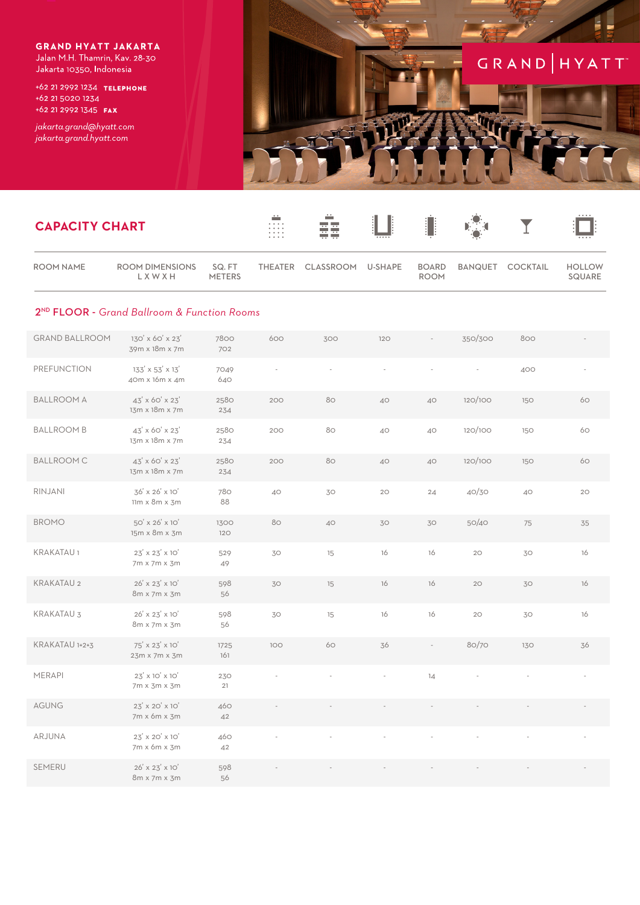**GRAND HYATT JAKARTA** Jalan M.H. Thamrin, Kav. 28-30 Jakarta 10350, Indonesia

+62 21 2992 1234 TELEPHONE +62 21 5020 1234 +62 21 2992 1345 FAX

jakarta.grand@hyatt.com jakarta.grand.hyatt.com

KRAKATAU 1+2+3

MERAPI

AGUNG

ARJUNA

SEMERU

 $75' \times 23' \times 10'$ 

23m x 7m x 3m

 $23'$  x 10' x 10'

 $7m \times 3m \times 3m$ 

 $23' \times 20' \times 10'$ 

 $7m \times 6m \times 3m$ 

23' x 20' x 10'

7m x 6m x 3m

 $26^{\prime} \times 23^{\prime} \times 10^{\prime}$ 8m x 7m x 3m 1725

161

230

 $21$ 

460

 $42$ 

460

 $42$ 

598

56

 $100$ 

ļ



80/70

 $\frac{1}{4}$ 

130

36

| <b>CAPACITY CHART</b> |                                                         |                        |         | ∸<br>ŦŦ          |         |                             |         |                  |                         |
|-----------------------|---------------------------------------------------------|------------------------|---------|------------------|---------|-----------------------------|---------|------------------|-------------------------|
| <b>ROOM NAME</b>      | <b>ROOM DIMENSIONS</b><br>LXWXH                         | SQ.FT<br><b>METERS</b> | THEATER | <b>CLASSROOM</b> | U-SHAPE | <b>BOARD</b><br><b>ROOM</b> |         | BANQUET COCKTAIL | <b>HOLLOW</b><br>SQUARE |
|                       | 2 <sup>ND</sup> FLOOR - Grand Ballroom & Function Rooms |                        |         |                  |         |                             |         |                  |                         |
| <b>GRAND BALLROOM</b> | 130' x 60' x 23'<br>39m x 18m x 7m                      | 7800<br>702            | 600     | 300              | 120     |                             | 350/300 | 800              |                         |
| <b>PREFUNCTION</b>    | 133' x 53' x 13'<br>40m x 16m x 4m                      | 7049<br>640            |         |                  |         |                             |         | 400              |                         |
| <b>BALLROOM A</b>     | $43' \times 60' \times 23'$<br>13m x 18m x 7m           | 2580<br>234            | 200     | 80               | 40      | 40                          | 120/100 | 150              | 60                      |
| <b>BALLROOM B</b>     | 43' x 60' x 23'<br>13m x 18m x 7m                       | 2580<br>234            | 200     | 80               | 40      | 40                          | 120/100 | 150              | 60                      |
| <b>BALLROOM C</b>     | 43' x 60' x 23'<br>13m x 18m x 7m                       | 2580<br>234            | 200     | 80               | 40      | 40                          | 120/100 | 150              | 60                      |
| RINJANI               | 36' x 26' x 10'<br>$11m \times 8m \times 3m$            | 780<br>88              | 40      | 30               | 20      | 24                          | 40/30   | 40               | 20                      |
| <b>BROMO</b>          | 50' x 26' x 10'<br>15m x 8m x 3m                        | 1300<br>120            | 80      | 40               | 30      | 30                          | 50/40   | 75               | 35                      |
| <b>KRAKATAU1</b>      | 23' x 23' x 10'<br>7m x 7m x 3m                         | 529<br>49              | 30      | 15               | 16      | 16                          | 20      | 30               | 16                      |
| <b>KRAKATAU 2</b>     | 26' x 23' x 10'<br>8m x 7m x 3m                         | 598<br>56              | 30      | 15               | 16      | 16                          | 20      | 30               | 16                      |
| <b>KRAKATAU 3</b>     | 26' x 23' x 10'<br>8m x 7m x 3m                         | 598<br>56              | 30      | 15               | 16      | 16                          | 20      | 30               | 16                      |

60

36

 $\overline{a}$